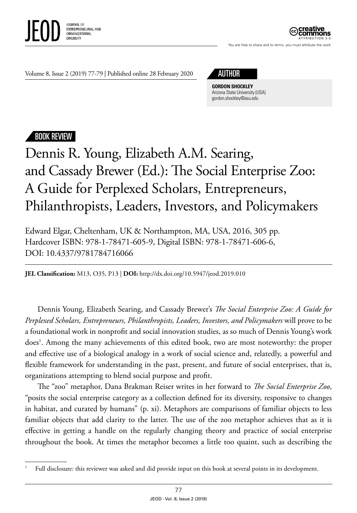

ATTRIBUTION 3.0

You are free to share and to remix, you must attribute the work

Volume 8, Issue 2 (2019) 77-79 | Published online 28 February 2020 AUTHOR

**GORDON SHOCKLEY** Arizona State University (USA) [gordon.shockley@asu.edu](mailto:Gordon.Shockley@asu.edu)

## BOOK REVIEW

## Dennis R. Young, Elizabeth A.M. Searing, and Cassady Brewer (Ed.): The Social Enterprise Zoo: A Guide for Perplexed Scholars, Entrepreneurs, Philanthropists, Leaders, Investors, and Policymakers

Edward Elgar, Cheltenham, UK & Northampton, MA, USA, 2016, 305 pp. Hardcover ISBN: 978-1-78471-605-9, Digital ISBN: 978-1-78471-606-6, DOI: 10.4337/9781784716066

**JEL Classification:** M13, O35, P13 | **DOI:** http:/ / dx.doi.org/10.5947/jeod.2019.010

Dennis Young, Elizabeth Searing, and Cassady Brewer's *The Social Enterprise Zoo: A Guide for Perplexed Scholars, Entrepreneurs, Philanthropists, Leaders, Investors, and Policymakers* will prove to be a foundational work in nonprofit and social innovation studies, as so much of Dennis Young's work does<sup>1</sup>. Among the many achievements of this edited book, two are most noteworthy: the proper and effective use of a biological analogy in a work of social science and, relatedly, a powerful and flexible framework for understanding in the past, present, and future of social enterprises, that is, organizations attempting to blend social purpose and profit.

The "zoo" metaphor, Dana Brakman Reiser writes in her forward to *The Social Enterprise Zoo*, "posits the social enterprise category as a collection defined for its diversity, responsive to changes in habitat, and curated by humans" (p. xi). Metaphors are comparisons of familiar objects to less familiar objects that add clarity to the latter. The use of the zoo metaphor achieves that as it is effective in getting a handle on the regularly changing theory and practice of social enterprise throughout the book. At times the metaphor becomes a little too quaint, such as describing the

<sup>&</sup>lt;sup>1</sup> Full disclosure: this reviewer was asked and did provide input on this book at several points in its development.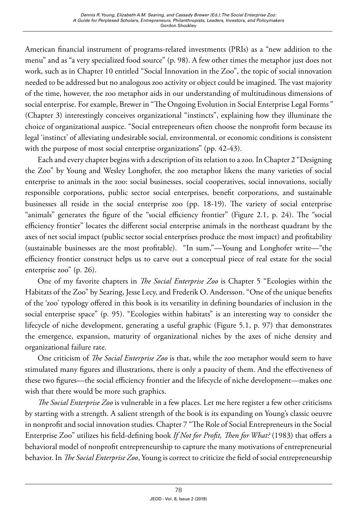American financial instrument of programs-related investments (PRIs) as a "new addition to the menu" and as "a very specialized food source" (p. 98). A few other times the metaphor just does not work, such as in Chapter 10 entitled "Social Innovation in the Zoo", the topic of social innovation needed to be addressed but no analogous zoo activity or object could be imagined. The vast majority of the time, however, the zoo metaphor aids in our understanding of multitudinous dimensions of social enterprise. For example, Brewer in "The Ongoing Evolution in Social Enterprise Legal Forms*"*  (Chapter 3) interestingly conceives organizational "instincts", explaining how they illuminate the choice of organizational auspice. "Social entrepreneurs often choose the nonprofit form because its legal 'instinct' of alleviating undesirable social, environmental, or economic conditions is consistent with the purpose of most social enterprise organizations" (pp. 42-43).

Each and every chapter begins with a description of its relation to a zoo. In Chapter 2 "Designing the Zoo" by Young and Wesley Longhofer, the zoo metaphor likens the many varieties of social enterprise to animals in the zoo: social businesses, social cooperatives, social innovations, socially responsible corporations, public sector social enterprises, benefit corporations, and sustainable businesses all reside in the social enterprise zoo (pp. 18-19). The variety of social enterprise "animals" generates the figure of the "social efficiency frontier" (Figure 2.1, p. 24). The "social efficiency frontier" locates the different social enterprise animals in the northeast quadrant by the axes of net social impact (public sector social enterprises produce the most impact) and profitability (sustainable businesses are the most profitable). "In sum,"—Young and Longhofer write—"the efficiency frontier construct helps us to carve out a conceptual piece of real estate for the social enterprise zoo" (p. 26).

One of my favorite chapters in *The Social Enterprise Zoo* is Chapter 5 "Ecologies within the Habitats of the Zoo" by Searing, Jesse Lecy, and Frederik O. Andersson. "One of the unique benefits of the 'zoo' typology offered in this book is its versatility in defining boundaries of inclusion in the social enterprise space" (p. 95). "Ecologies within habitats" is an interesting way to consider the lifecycle of niche development, generating a useful graphic (Figure 5.1, p. 97) that demonstrates the emergence, expansion, maturity of organizational niches by the axes of niche density and organizational failure rate.

One criticism of *The Social Enterprise Zoo* is that, while the zoo metaphor would seem to have stimulated many figures and illustrations, there is only a paucity of them. And the effectiveness of these two figures—the social efficiency frontier and the lifecycle of niche development—makes one wish that there would be more such graphics.

*The Social Enterprise Zoo* is vulnerable in a few places. Let me here register a few other criticisms by starting with a strength. A salient strength of the book is its expanding on Young's classic oeuvre in nonprofit and social innovation studies. Chapter 7 "The Role of Social Entrepreneurs in the Social Enterprise Zoo" utilizes his field-defining book *If Not for Profit, Then for What?* (1983) that offers a behavioral model of nonprofit entrepreneurship to capture the many motivations of entrepreneurial behavior. In *The Social Enterprise Zoo*, Young is correct to criticize the field of social entrepreneurship